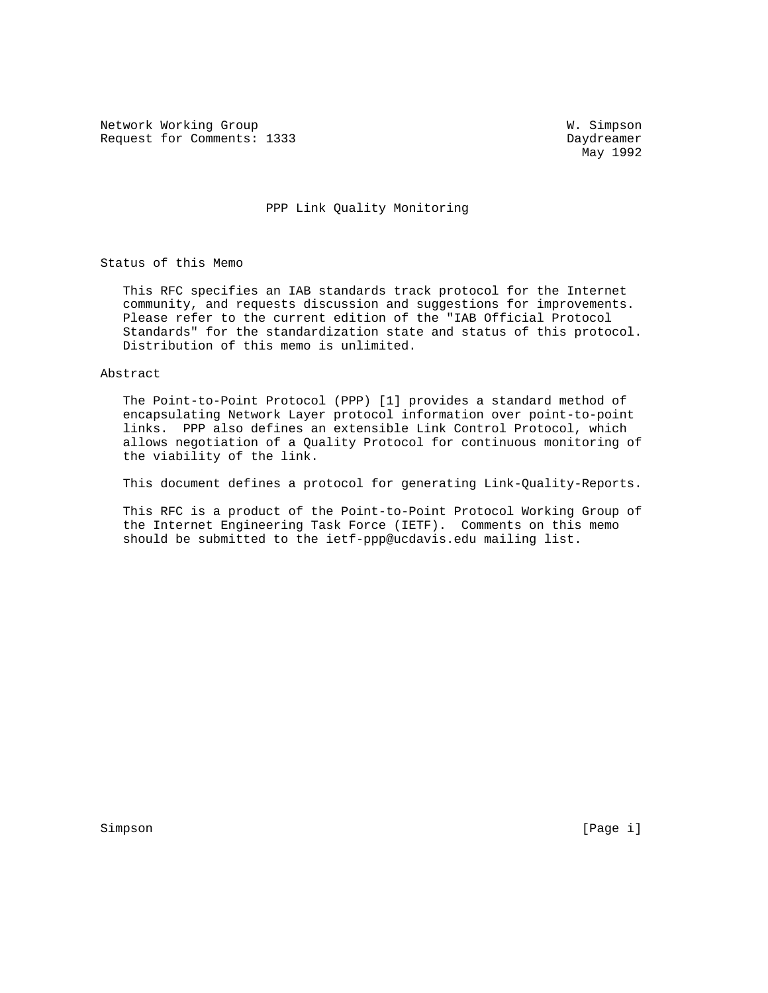Network Working Group W. Simpson Request for Comments: 1333 Daydreamer

May 1992

## PPP Link Quality Monitoring

Status of this Memo

 This RFC specifies an IAB standards track protocol for the Internet community, and requests discussion and suggestions for improvements. Please refer to the current edition of the "IAB Official Protocol Standards" for the standardization state and status of this protocol. Distribution of this memo is unlimited.

### Abstract

 The Point-to-Point Protocol (PPP) [1] provides a standard method of encapsulating Network Layer protocol information over point-to-point links. PPP also defines an extensible Link Control Protocol, which allows negotiation of a Quality Protocol for continuous monitoring of the viability of the link.

This document defines a protocol for generating Link-Quality-Reports.

 This RFC is a product of the Point-to-Point Protocol Working Group of the Internet Engineering Task Force (IETF). Comments on this memo should be submitted to the ietf-ppp@ucdavis.edu mailing list.

Simpson [Page i] [Page i] [Page i] [Page i] [Page i] [Page i] [Page i] [Page i] [Page i] [Page i] [Page i] [Page i] [Page i] [Page i] [Page i] [Page i] [Page i] [Page i] [Page i] [Page i] [Page i] [Page i] [Page i] [Page i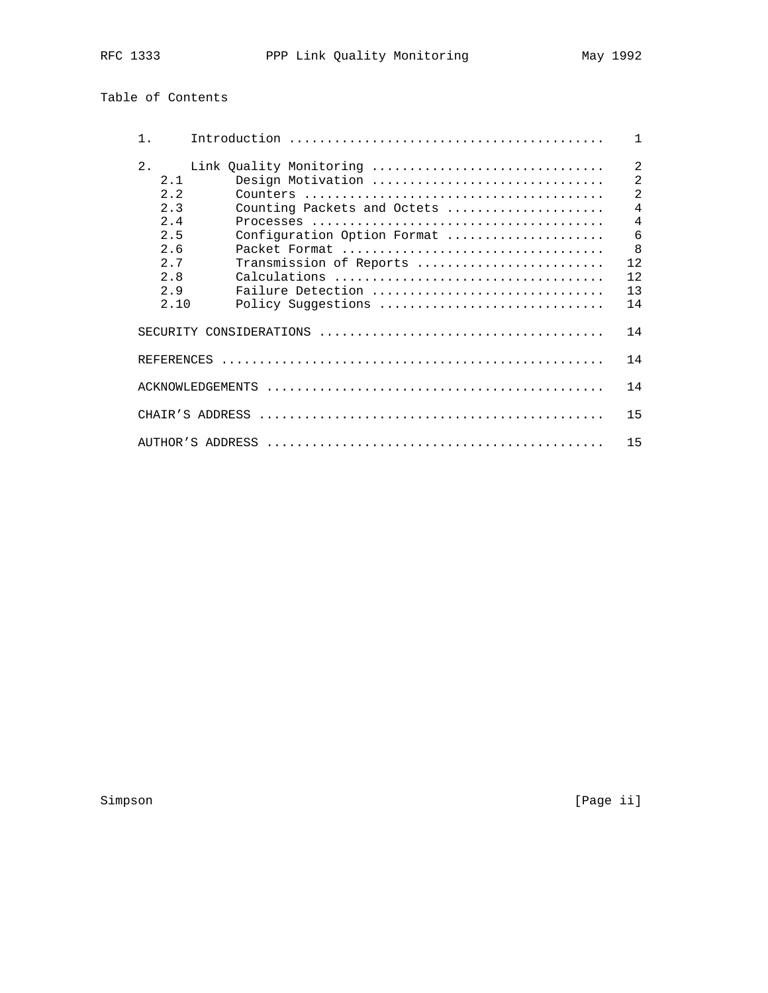# Table of Contents

| $1$ .                                                                       |                 |                         |                                                                                                                                                       |  |  | $\mathbf{1}$                                                                                                             |
|-----------------------------------------------------------------------------|-----------------|-------------------------|-------------------------------------------------------------------------------------------------------------------------------------------------------|--|--|--------------------------------------------------------------------------------------------------------------------------|
| $2$ .<br>2.1<br>2.2<br>2.3<br>2.4<br>2.5<br>2.6<br>2.7<br>2.8<br>29<br>2.10 |                 | Link Quality Monitoring | Design Motivation<br>Counting Packets and Octets<br>Configuration Option Format<br>Transmission of Reports<br>Failure Detection<br>Policy Suggestions |  |  | $\overline{2}$<br>$\overline{2}$<br>$\overline{2}$<br>$\overline{4}$<br>$\overline{4}$<br>6<br>8<br>12<br>12<br>13<br>14 |
|                                                                             |                 |                         |                                                                                                                                                       |  |  | 14                                                                                                                       |
| <b>REFERENCES</b>                                                           |                 |                         |                                                                                                                                                       |  |  | 14                                                                                                                       |
|                                                                             |                 | ACKNOWLEDGEMENTS        |                                                                                                                                                       |  |  | 14                                                                                                                       |
|                                                                             | CHAIR'S ADDRESS |                         |                                                                                                                                                       |  |  | 15                                                                                                                       |
|                                                                             |                 |                         |                                                                                                                                                       |  |  | 15                                                                                                                       |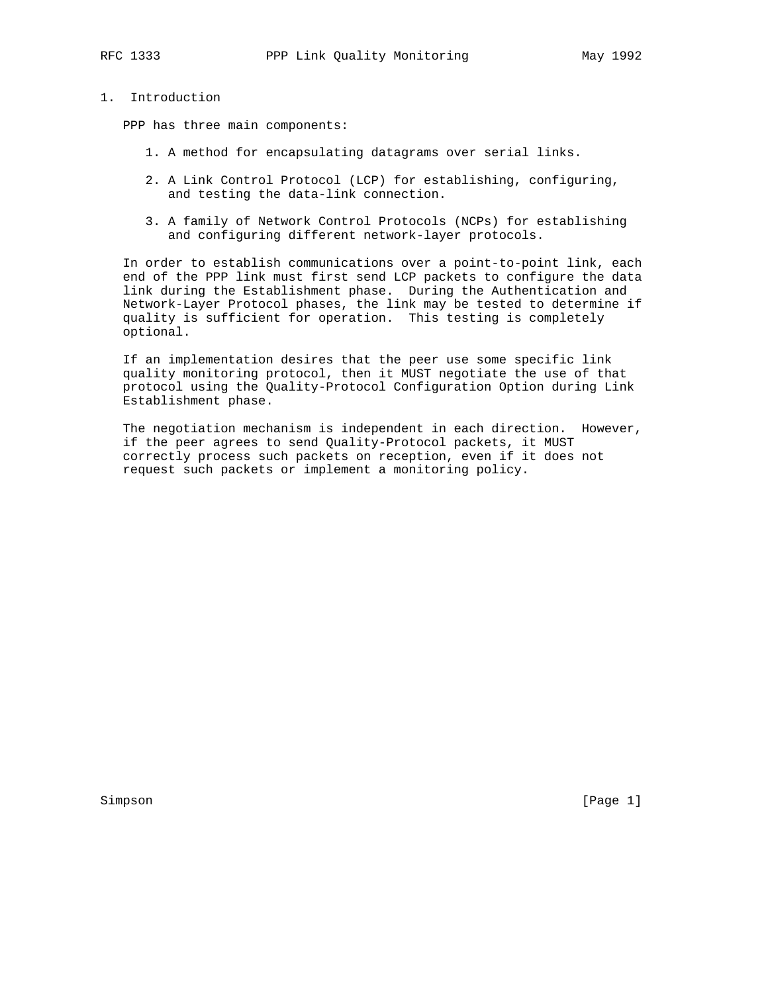# 1. Introduction

PPP has three main components:

- 1. A method for encapsulating datagrams over serial links.
- 2. A Link Control Protocol (LCP) for establishing, configuring, and testing the data-link connection.
- 3. A family of Network Control Protocols (NCPs) for establishing and configuring different network-layer protocols.

 In order to establish communications over a point-to-point link, each end of the PPP link must first send LCP packets to configure the data link during the Establishment phase. During the Authentication and Network-Layer Protocol phases, the link may be tested to determine if quality is sufficient for operation. This testing is completely optional.

 If an implementation desires that the peer use some specific link quality monitoring protocol, then it MUST negotiate the use of that protocol using the Quality-Protocol Configuration Option during Link Establishment phase.

 The negotiation mechanism is independent in each direction. However, if the peer agrees to send Quality-Protocol packets, it MUST correctly process such packets on reception, even if it does not request such packets or implement a monitoring policy.

Simpson [Page 1]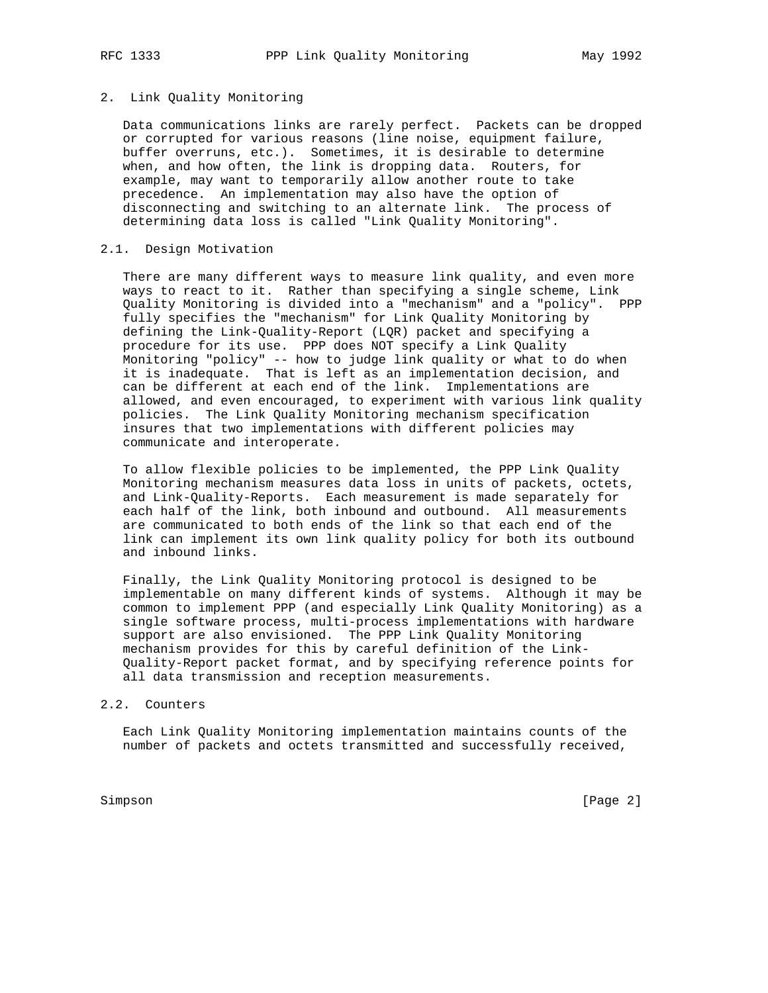## 2. Link Quality Monitoring

 Data communications links are rarely perfect. Packets can be dropped or corrupted for various reasons (line noise, equipment failure, buffer overruns, etc.). Sometimes, it is desirable to determine when, and how often, the link is dropping data. Routers, for example, may want to temporarily allow another route to take precedence. An implementation may also have the option of disconnecting and switching to an alternate link. The process of determining data loss is called "Link Quality Monitoring".

## 2.1. Design Motivation

 There are many different ways to measure link quality, and even more ways to react to it. Rather than specifying a single scheme, Link Quality Monitoring is divided into a "mechanism" and a "policy". PPP fully specifies the "mechanism" for Link Quality Monitoring by defining the Link-Quality-Report (LQR) packet and specifying a procedure for its use. PPP does NOT specify a Link Quality Monitoring "policy" -- how to judge link quality or what to do when it is inadequate. That is left as an implementation decision, and can be different at each end of the link. Implementations are allowed, and even encouraged, to experiment with various link quality policies. The Link Quality Monitoring mechanism specification insures that two implementations with different policies may communicate and interoperate.

 To allow flexible policies to be implemented, the PPP Link Quality Monitoring mechanism measures data loss in units of packets, octets, and Link-Quality-Reports. Each measurement is made separately for each half of the link, both inbound and outbound. All measurements are communicated to both ends of the link so that each end of the link can implement its own link quality policy for both its outbound and inbound links.

 Finally, the Link Quality Monitoring protocol is designed to be implementable on many different kinds of systems. Although it may be common to implement PPP (and especially Link Quality Monitoring) as a single software process, multi-process implementations with hardware support are also envisioned. The PPP Link Quality Monitoring mechanism provides for this by careful definition of the Link- Quality-Report packet format, and by specifying reference points for all data transmission and reception measurements.

### 2.2. Counters

 Each Link Quality Monitoring implementation maintains counts of the number of packets and octets transmitted and successfully received,

Simpson [Page 2]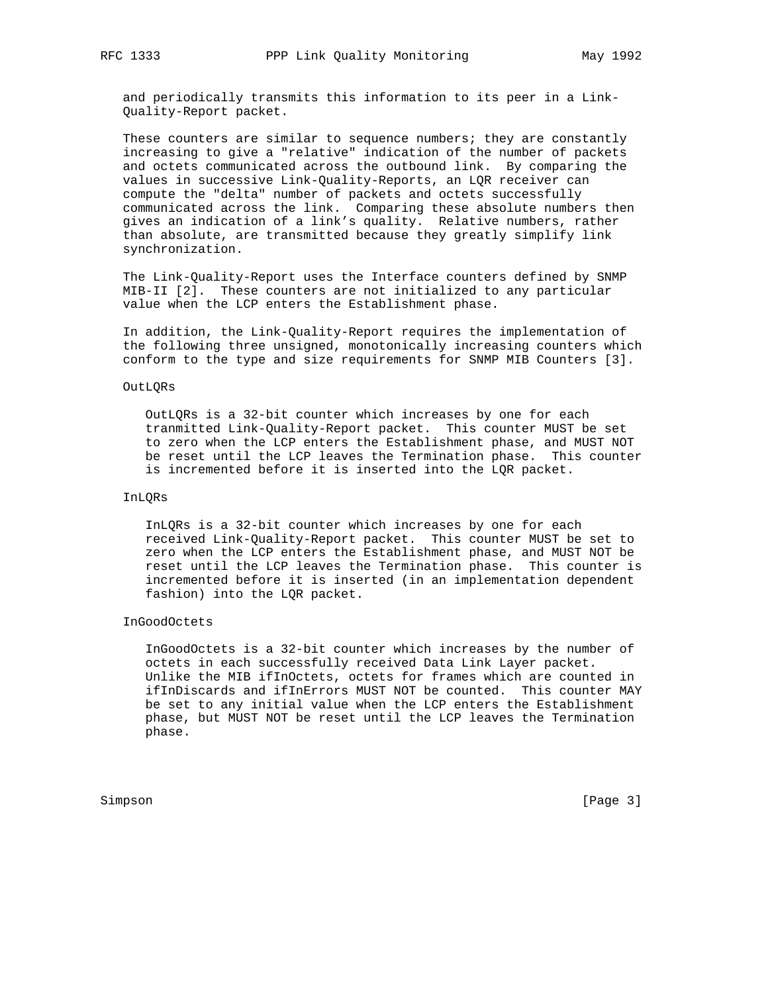and periodically transmits this information to its peer in a Link- Quality-Report packet.

These counters are similar to sequence numbers; they are constantly increasing to give a "relative" indication of the number of packets and octets communicated across the outbound link. By comparing the values in successive Link-Quality-Reports, an LQR receiver can compute the "delta" number of packets and octets successfully communicated across the link. Comparing these absolute numbers then gives an indication of a link's quality. Relative numbers, rather than absolute, are transmitted because they greatly simplify link synchronization.

 The Link-Quality-Report uses the Interface counters defined by SNMP MIB-II [2]. These counters are not initialized to any particular value when the LCP enters the Establishment phase.

 In addition, the Link-Quality-Report requires the implementation of the following three unsigned, monotonically increasing counters which conform to the type and size requirements for SNMP MIB Counters [3].

## OutLQRs

 OutLQRs is a 32-bit counter which increases by one for each tranmitted Link-Quality-Report packet. This counter MUST be set to zero when the LCP enters the Establishment phase, and MUST NOT be reset until the LCP leaves the Termination phase. This counter is incremented before it is inserted into the LQR packet.

## InLQRs

 InLQRs is a 32-bit counter which increases by one for each received Link-Quality-Report packet. This counter MUST be set to zero when the LCP enters the Establishment phase, and MUST NOT be reset until the LCP leaves the Termination phase. This counter is incremented before it is inserted (in an implementation dependent fashion) into the LQR packet.

## InGoodOctets

 InGoodOctets is a 32-bit counter which increases by the number of octets in each successfully received Data Link Layer packet. Unlike the MIB ifInOctets, octets for frames which are counted in ifInDiscards and ifInErrors MUST NOT be counted. This counter MAY be set to any initial value when the LCP enters the Establishment phase, but MUST NOT be reset until the LCP leaves the Termination phase.

Simpson [Page 3]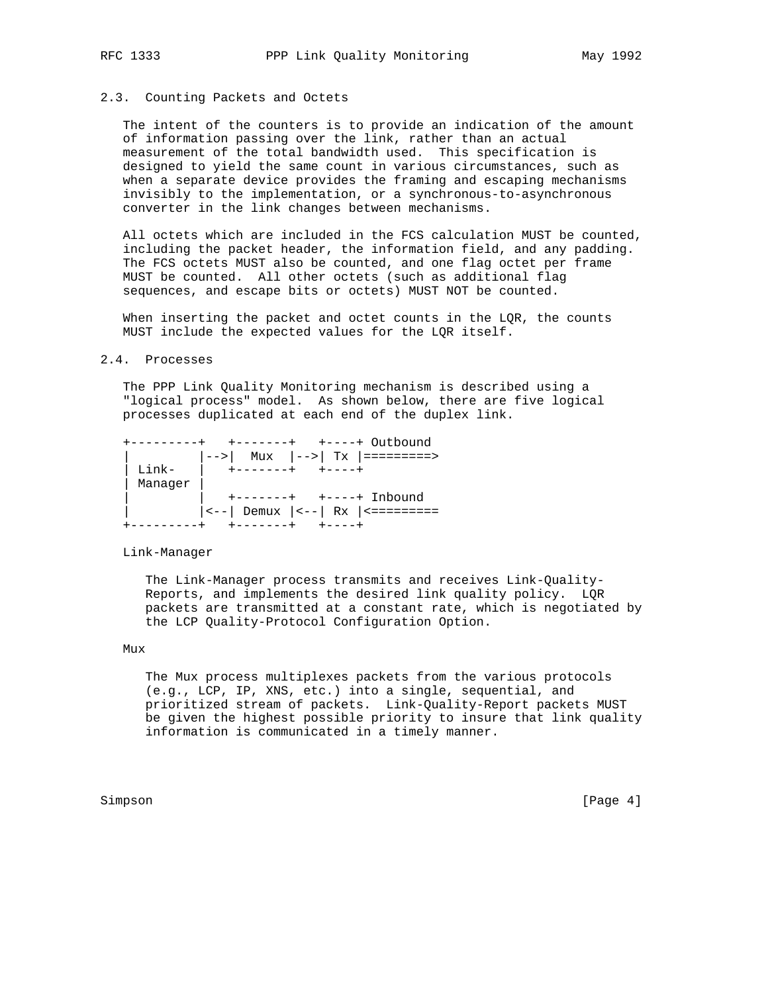## 2.3. Counting Packets and Octets

 The intent of the counters is to provide an indication of the amount of information passing over the link, rather than an actual measurement of the total bandwidth used. This specification is designed to yield the same count in various circumstances, such as when a separate device provides the framing and escaping mechanisms invisibly to the implementation, or a synchronous-to-asynchronous converter in the link changes between mechanisms.

 All octets which are included in the FCS calculation MUST be counted, including the packet header, the information field, and any padding. The FCS octets MUST also be counted, and one flag octet per frame MUST be counted. All other octets (such as additional flag sequences, and escape bits or octets) MUST NOT be counted.

 When inserting the packet and octet counts in the LQR, the counts MUST include the expected values for the LQR itself.

#### 2.4. Processes

 The PPP Link Quality Monitoring mechanism is described using a "logical process" model. As shown below, there are five logical processes duplicated at each end of the duplex link.

|                   | $\vert -- \rangle$ Mux $\vert -- \rangle$ Tx $\vert -- \rangle$ |
|-------------------|-----------------------------------------------------------------|
| $T \cdot i n k -$ | l +-------+<br>$+ - - - - +$                                    |
| Manager           |                                                                 |
|                   |                                                                 |
|                   | $ --- $ Demux $ --- $ Rx $ --- $                                |
|                   |                                                                 |

Link-Manager

 The Link-Manager process transmits and receives Link-Quality- Reports, and implements the desired link quality policy. LQR packets are transmitted at a constant rate, which is negotiated by the LCP Quality-Protocol Configuration Option.

## Mux

 The Mux process multiplexes packets from the various protocols (e.g., LCP, IP, XNS, etc.) into a single, sequential, and prioritized stream of packets. Link-Quality-Report packets MUST be given the highest possible priority to insure that link quality information is communicated in a timely manner.

Simpson [Page 4] [Page 4] [Page 4] [Page 4] [Page 4] [Page 4] [Page 4] [Page 4] [Page 4] [Page 4] [Page 4] [Page 4] [Page 4] [Page 4] [Page 4] [Page 4] [Page 4] [Page 4] [Page 4] [Page 4] [Page 4] [Page 4] [Page 4] [Page 4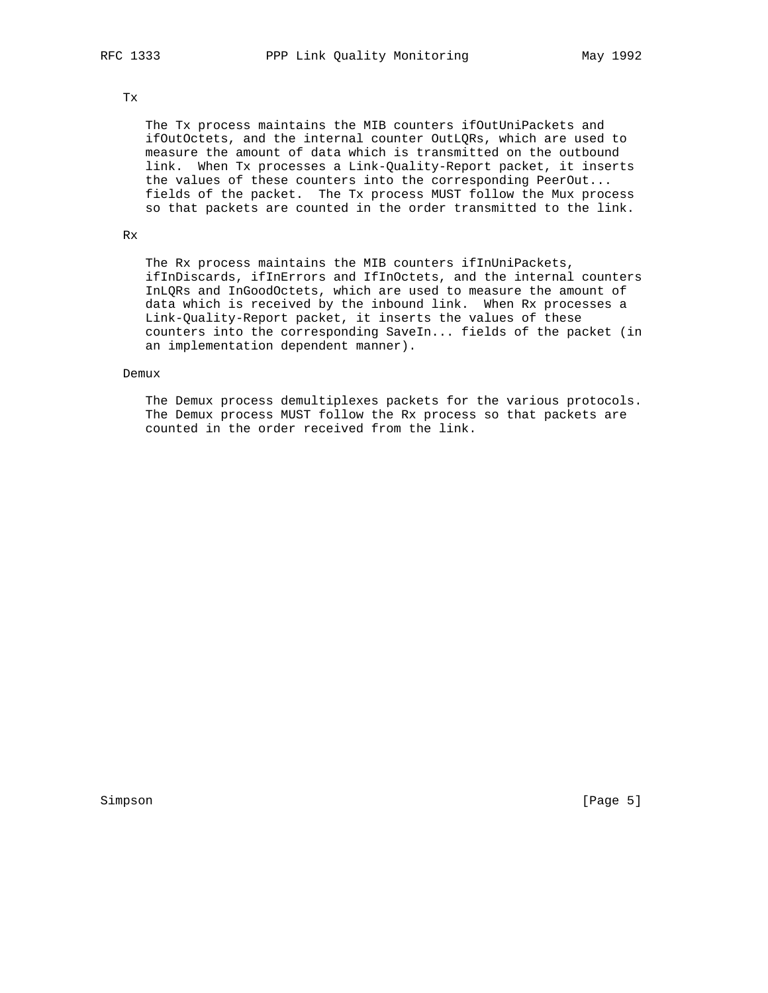## Tx

 The Tx process maintains the MIB counters ifOutUniPackets and ifOutOctets, and the internal counter OutLQRs, which are used to measure the amount of data which is transmitted on the outbound link. When Tx processes a Link-Quality-Report packet, it inserts the values of these counters into the corresponding PeerOut... fields of the packet. The Tx process MUST follow the Mux process so that packets are counted in the order transmitted to the link.

## Rx

 The Rx process maintains the MIB counters ifInUniPackets, ifInDiscards, ifInErrors and IfInOctets, and the internal counters InLQRs and InGoodOctets, which are used to measure the amount of data which is received by the inbound link. When Rx processes a Link-Quality-Report packet, it inserts the values of these counters into the corresponding SaveIn... fields of the packet (in an implementation dependent manner).

### Demux

 The Demux process demultiplexes packets for the various protocols. The Demux process MUST follow the Rx process so that packets are counted in the order received from the link.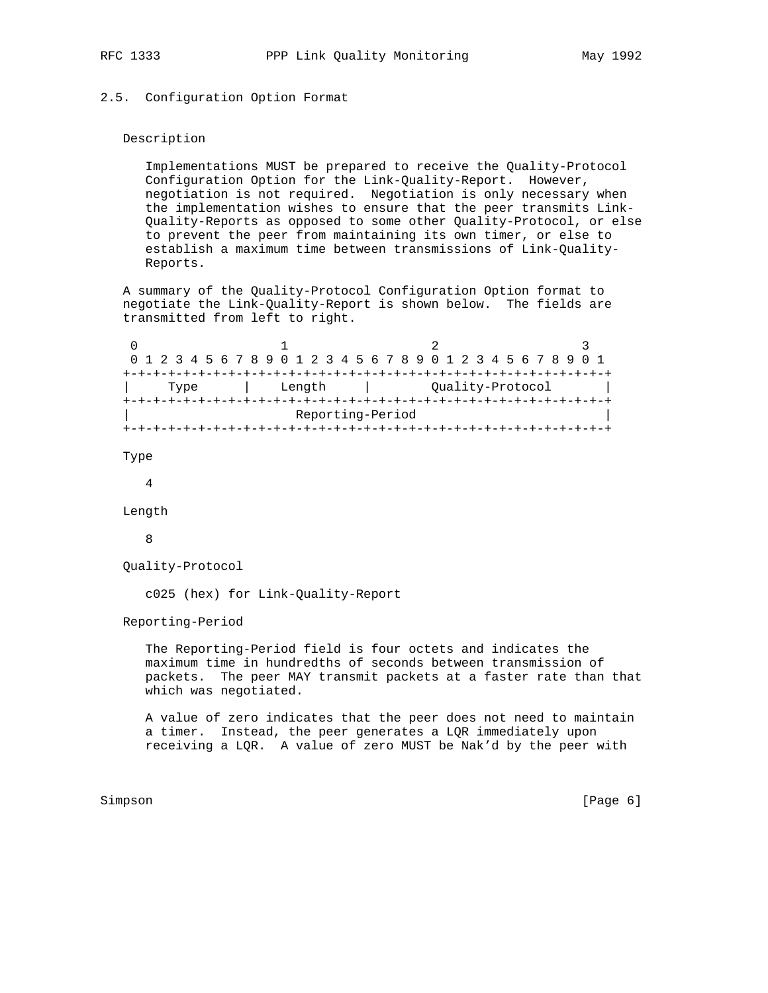## 2.5. Configuration Option Format

## Description

 Implementations MUST be prepared to receive the Quality-Protocol Configuration Option for the Link-Quality-Report. However, negotiation is not required. Negotiation is only necessary when the implementation wishes to ensure that the peer transmits Link- Quality-Reports as opposed to some other Quality-Protocol, or else to prevent the peer from maintaining its own timer, or else to establish a maximum time between transmissions of Link-Quality- Reports.

 A summary of the Quality-Protocol Configuration Option format to negotiate the Link-Quality-Report is shown below. The fields are transmitted from left to right.

|                  |                |  |  |  |                  |  |  |  |  |  |  |  |  |  |  |  |  |  |  |  |  |  | 0 1 2 3 4 5 6 7 8 9 0 1 2 3 4 5 6 7 8 9 0 1 2 3 4 5 6 7 8 9 0 1 |  |  |  |
|------------------|----------------|--|--|--|------------------|--|--|--|--|--|--|--|--|--|--|--|--|--|--|--|--|--|-----------------------------------------------------------------|--|--|--|
|                  |                |  |  |  |                  |  |  |  |  |  |  |  |  |  |  |  |  |  |  |  |  |  |                                                                 |  |  |  |
|                  | Length<br>Type |  |  |  | Ouality-Protocol |  |  |  |  |  |  |  |  |  |  |  |  |  |  |  |  |  |                                                                 |  |  |  |
|                  |                |  |  |  |                  |  |  |  |  |  |  |  |  |  |  |  |  |  |  |  |  |  |                                                                 |  |  |  |
| Reporting-Period |                |  |  |  |                  |  |  |  |  |  |  |  |  |  |  |  |  |  |  |  |  |  |                                                                 |  |  |  |
|                  |                |  |  |  |                  |  |  |  |  |  |  |  |  |  |  |  |  |  |  |  |  |  |                                                                 |  |  |  |

Type

4

Length

8

```
 Quality-Protocol
```
c025 (hex) for Link-Quality-Report

Reporting-Period

 The Reporting-Period field is four octets and indicates the maximum time in hundredths of seconds between transmission of packets. The peer MAY transmit packets at a faster rate than that which was negotiated.

 A value of zero indicates that the peer does not need to maintain a timer. Instead, the peer generates a LQR immediately upon receiving a LQR. A value of zero MUST be Nak'd by the peer with

Simpson [Page 6] [Page 6] [Page 6] [Page 6] [Page 6] [Page 6] [Page 6] [Page 6] [Page 6] [Page 6] [Page 6] [Page 6] [Page 6] [Page 6] [Page 6] [Page 6] [Page 6] [Page 6] [Page 6] [Page 6] [Page 6] [Page 6] [Page 6] [Page 6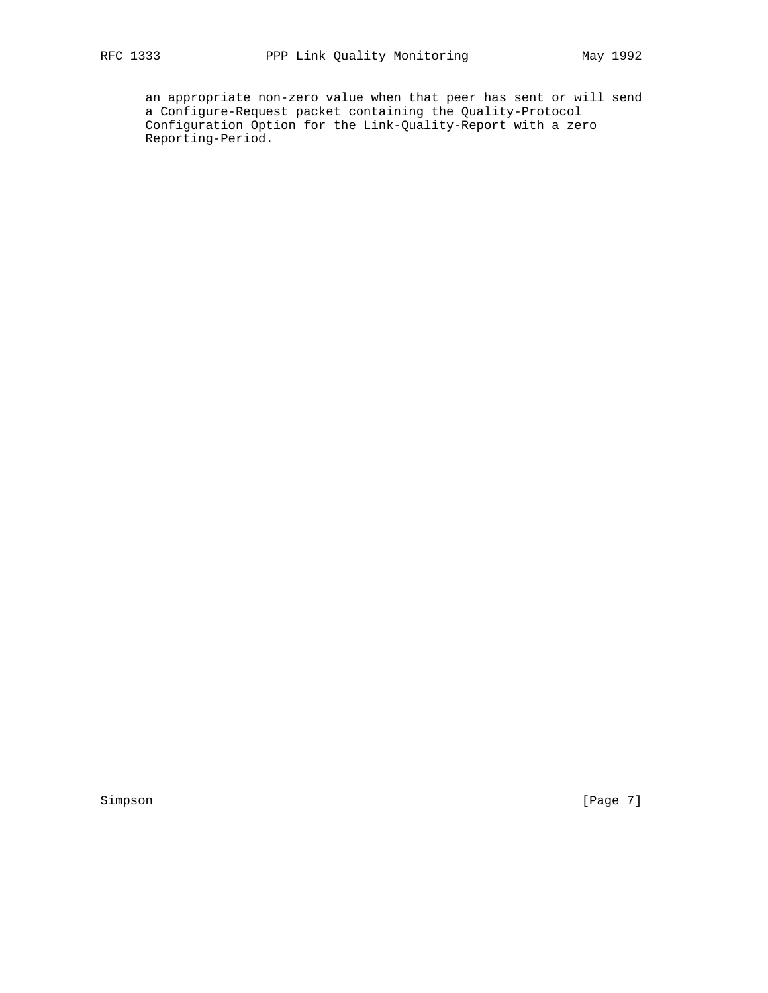an appropriate non-zero value when that peer has sent or will send a Configure-Request packet containing the Quality-Protocol Configuration Option for the Link-Quality-Report with a zero Reporting-Period.

Simpson [Page 7]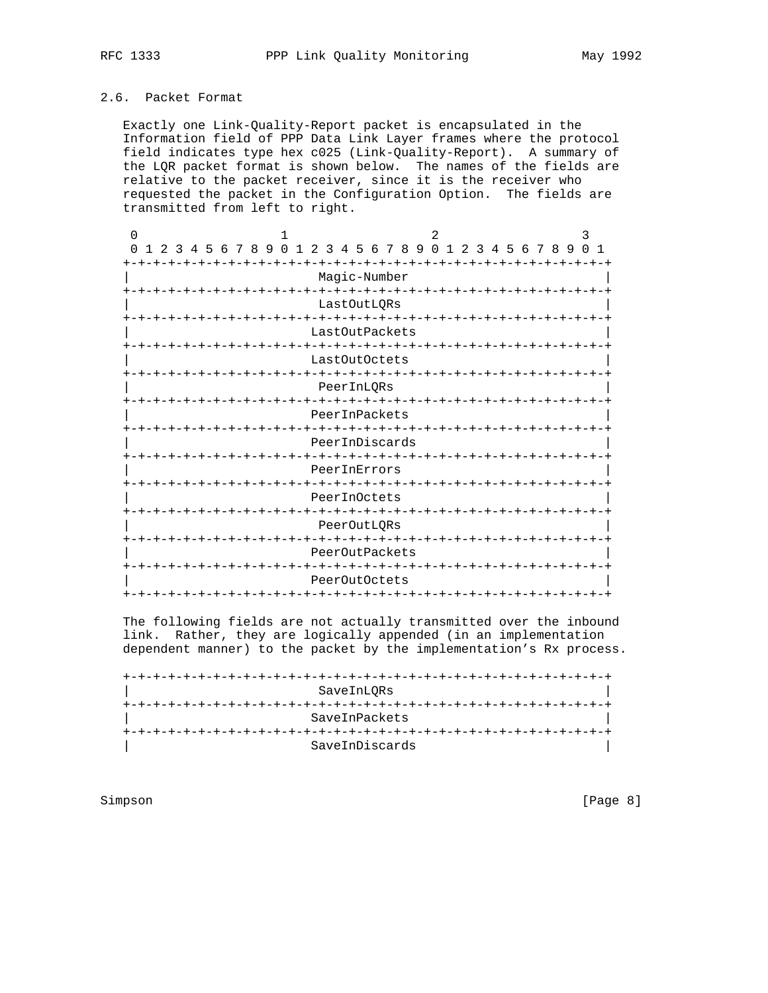# 2.6. Packet Format

 Exactly one Link-Quality-Report packet is encapsulated in the Information field of PPP Data Link Layer frames where the protocol field indicates type hex c025 (Link-Quality-Report). A summary of the LQR packet format is shown below. The names of the fields are relative to the packet receiver, since it is the receiver who requested the packet in the Configuration Option. The fields are transmitted from left to right.

| U                                                            |                                                  |                                 |               |                |  | 2              |  |    |                    |  |  |    | 3<br>$\cap$ |                |
|--------------------------------------------------------------|--------------------------------------------------|---------------------------------|---------------|----------------|--|----------------|--|----|--------------------|--|--|----|-------------|----------------|
| $\Omega$<br>$\mathcal{L}$<br>-5<br>્વ<br>$\overline{4}$<br>1 | 9<br>$\Omega$<br>678                             | $\overline{1}$<br>$\mathcal{L}$ |               | 3 4 5 6 7 8 9  |  | 0 <sub>1</sub> |  | 23 | 4 5 6 7 8          |  |  | -9 |             | $\overline{1}$ |
|                                                              |                                                  |                                 | Magic-Number  |                |  |                |  |    |                    |  |  |    |             |                |
|                                                              | LastOutLORs                                      |                                 |               |                |  |                |  |    |                    |  |  |    |             |                |
|                                                              | -+-+-+-+-+-+-+-+-+-+-+-+-+-+-+<br>LastOutPackets |                                 |               |                |  |                |  |    |                    |  |  |    |             |                |
|                                                              |                                                  |                                 | LastOutOctets |                |  |                |  |    |                    |  |  |    |             |                |
|                                                              |                                                  |                                 |               |                |  |                |  |    |                    |  |  |    |             |                |
|                                                              |                                                  |                                 | PeerInLORs    |                |  |                |  |    |                    |  |  |    |             |                |
|                                                              |                                                  |                                 |               | -+-+-+-+-+-+   |  |                |  |    |                    |  |  |    |             |                |
|                                                              |                                                  |                                 | PeerInPackets |                |  |                |  |    |                    |  |  |    |             |                |
|                                                              |                                                  | -+-+-+-+-+-+-+-+-+-+-+-+-+-     |               | PeerInDiscards |  |                |  |    | ーナーナーナーナーナ         |  |  |    |             | -+-+-+-+-+     |
|                                                              |                                                  |                                 |               |                |  |                |  |    |                    |  |  |    |             |                |
|                                                              |                                                  |                                 | PeerInErrors  |                |  |                |  |    |                    |  |  |    |             |                |
|                                                              | ーナーナーナーナーナ                                       |                                 |               |                |  |                |  |    |                    |  |  |    |             |                |
|                                                              |                                                  |                                 | PeerInOctets  |                |  |                |  |    |                    |  |  |    |             |                |
|                                                              |                                                  |                                 |               | -+-+-+-+-+     |  |                |  |    |                    |  |  |    |             |                |
|                                                              |                                                  |                                 | PeerOutLQRs   |                |  |                |  |    |                    |  |  |    |             |                |
| -+-+-+                                                       |                                                  | -+-+-+-+-+-+-+-+-+-+            |               |                |  |                |  |    | -+-+-+-+-+-+-+-+-+ |  |  |    |             |                |
|                                                              |                                                  |                                 |               | PeerOutPackets |  |                |  |    |                    |  |  |    |             |                |
|                                                              |                                                  |                                 | PeerOutOctets |                |  |                |  |    |                    |  |  |    |             |                |
| $+ - + - +$                                                  | -+-+-+-+-+-+                                     |                                 |               |                |  |                |  |    | -+-+-+-+-+-+-+-+-  |  |  |    |             |                |

 The following fields are not actually transmitted over the inbound link. Rather, they are logically appended (in an implementation dependent manner) to the packet by the implementation's Rx process.

 +-+-+-+-+-+-+-+-+-+-+-+-+-+-+-+-+-+-+-+-+-+-+-+-+-+-+-+-+-+-+-+-+ | SaveInLQRs | +-+-+-+-+-+-+-+-+-+-+-+-+-+-+-+-+-+-+-+-+-+-+-+-+-+-+-+-+-+-+-+-+ SaveInPackets +-+-+-+-+-+-+-+-+-+-+-+-+-+-+-+-+-+-+-+-+-+-+-+-+-+-+-+-+-+-+-+-+ | SaveInDiscards |

Simpson [Page 8]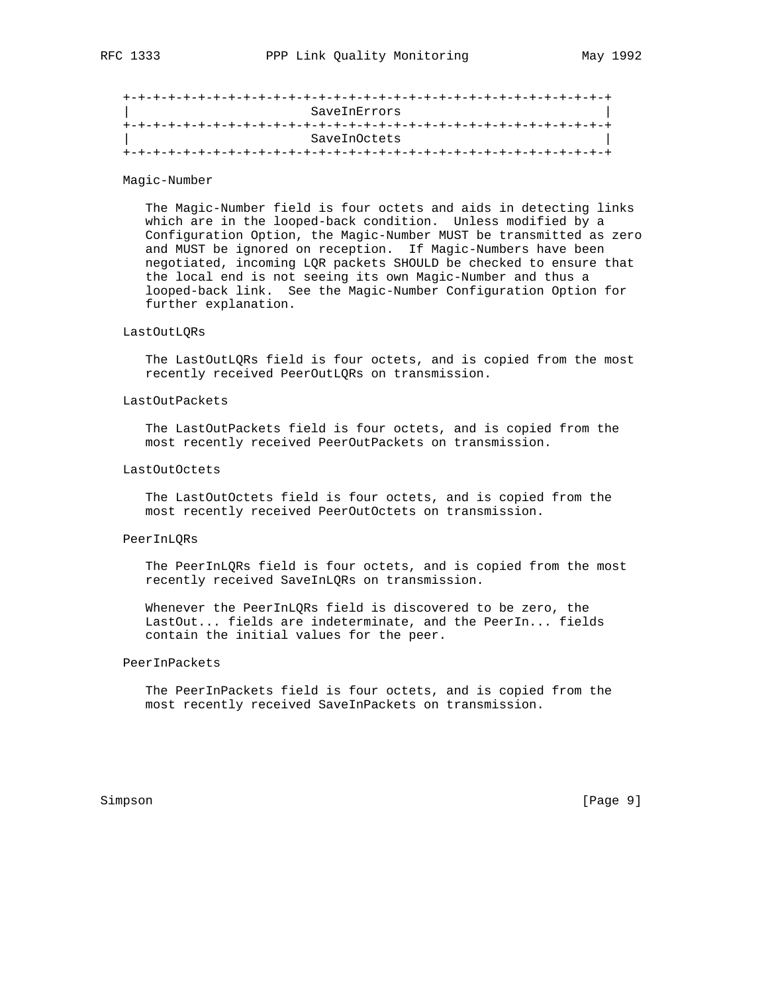| SaveInErrors |  |
|--------------|--|
|              |  |
| SaveInOctets |  |
|              |  |

## Magic-Number

 The Magic-Number field is four octets and aids in detecting links which are in the looped-back condition. Unless modified by a Configuration Option, the Magic-Number MUST be transmitted as zero and MUST be ignored on reception. If Magic-Numbers have been negotiated, incoming LQR packets SHOULD be checked to ensure that the local end is not seeing its own Magic-Number and thus a looped-back link. See the Magic-Number Configuration Option for further explanation.

## LastOutLQRs

 The LastOutLQRs field is four octets, and is copied from the most recently received PeerOutLQRs on transmission.

## LastOutPackets

 The LastOutPackets field is four octets, and is copied from the most recently received PeerOutPackets on transmission.

## LastOutOctets

 The LastOutOctets field is four octets, and is copied from the most recently received PeerOutOctets on transmission.

#### PeerInLQRs

 The PeerInLQRs field is four octets, and is copied from the most recently received SaveInLQRs on transmission.

 Whenever the PeerInLQRs field is discovered to be zero, the LastOut... fields are indeterminate, and the PeerIn... fields contain the initial values for the peer.

## PeerInPackets

 The PeerInPackets field is four octets, and is copied from the most recently received SaveInPackets on transmission.

Simpson [Page 9]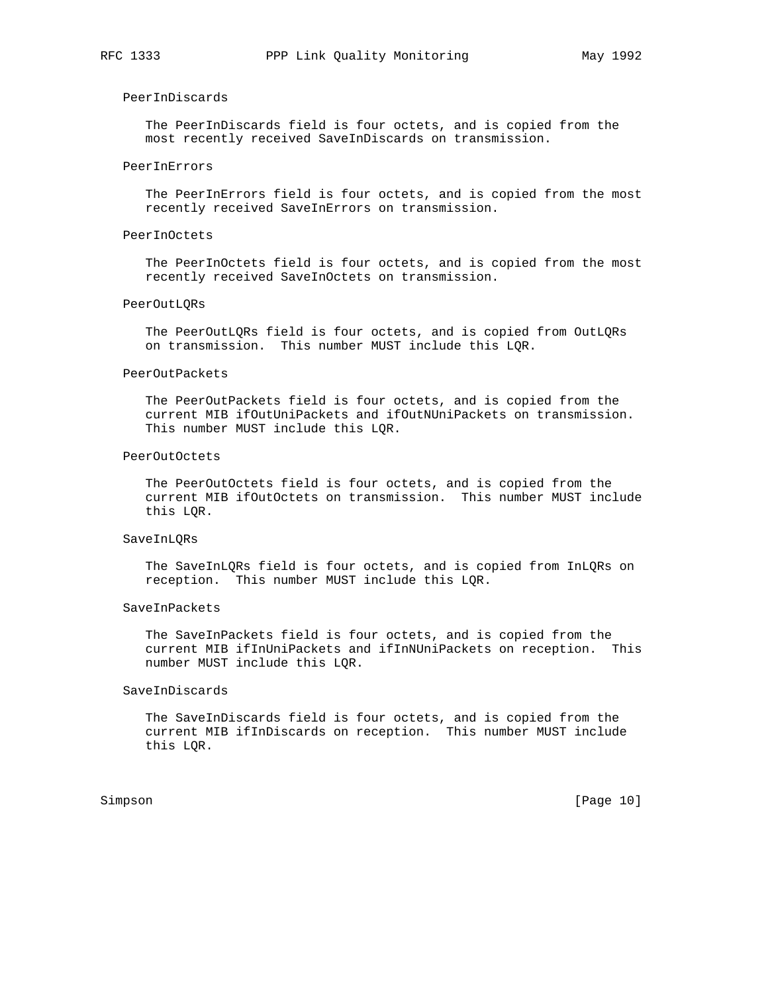## PeerInDiscards

 The PeerInDiscards field is four octets, and is copied from the most recently received SaveInDiscards on transmission.

### PeerInErrors

 The PeerInErrors field is four octets, and is copied from the most recently received SaveInErrors on transmission.

## PeerInOctets

 The PeerInOctets field is four octets, and is copied from the most recently received SaveInOctets on transmission.

### PeerOutLQRs

 The PeerOutLQRs field is four octets, and is copied from OutLQRs on transmission. This number MUST include this LQR.

#### PeerOutPackets

 The PeerOutPackets field is four octets, and is copied from the current MIB ifOutUniPackets and ifOutNUniPackets on transmission. This number MUST include this LQR.

#### PeerOutOctets

 The PeerOutOctets field is four octets, and is copied from the current MIB ifOutOctets on transmission. This number MUST include this LQR.

#### SaveInLQRs

 The SaveInLQRs field is four octets, and is copied from InLQRs on reception. This number MUST include this LQR.

#### SaveInPackets

 The SaveInPackets field is four octets, and is copied from the current MIB ifInUniPackets and ifInNUniPackets on reception. This number MUST include this LQR.

#### SaveInDiscards

 The SaveInDiscards field is four octets, and is copied from the current MIB ifInDiscards on reception. This number MUST include this LQR.

Simpson [Page 10]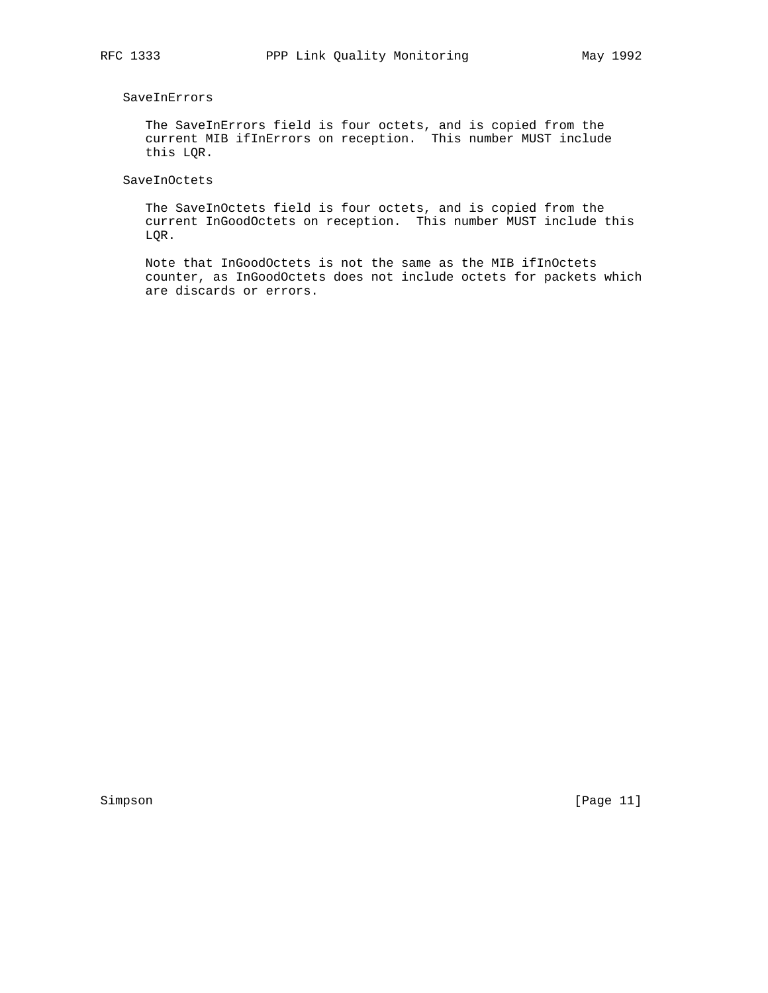# SaveInErrors

 The SaveInErrors field is four octets, and is copied from the current MIB ifInErrors on reception. This number MUST include this LQR.

# SaveInOctets

 The SaveInOctets field is four octets, and is copied from the current InGoodOctets on reception. This number MUST include this LQR.

 Note that InGoodOctets is not the same as the MIB ifInOctets counter, as InGoodOctets does not include octets for packets which are discards or errors.

Simpson [Page 11]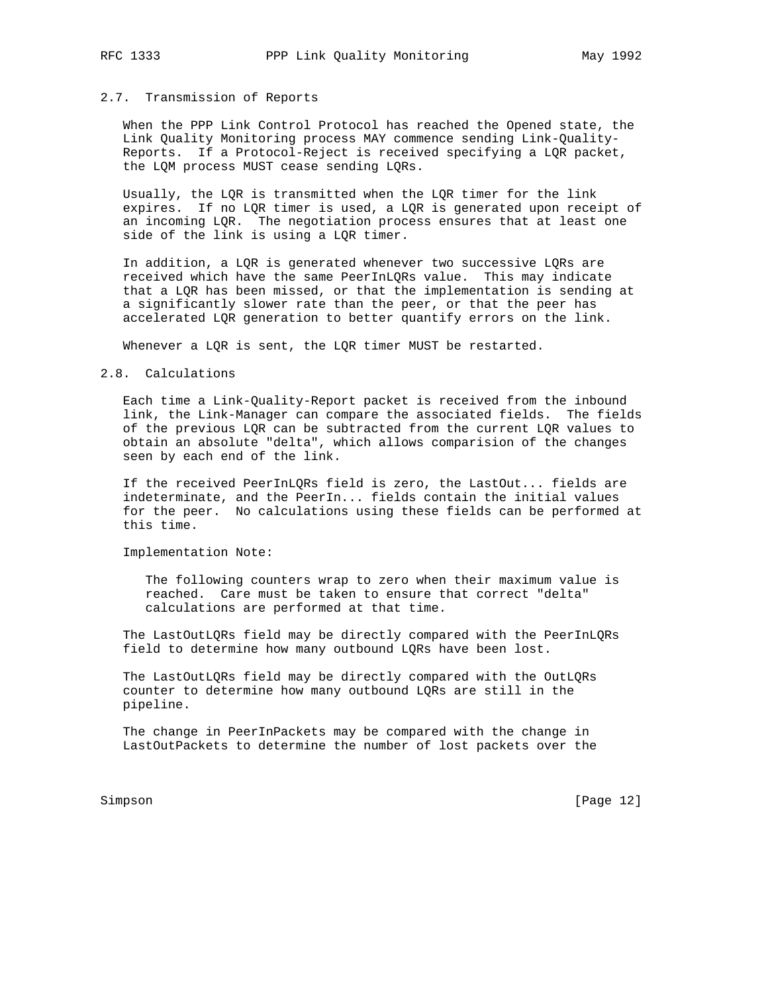## 2.7. Transmission of Reports

 When the PPP Link Control Protocol has reached the Opened state, the Link Quality Monitoring process MAY commence sending Link-Quality- Reports. If a Protocol-Reject is received specifying a LQR packet, the LQM process MUST cease sending LQRs.

 Usually, the LQR is transmitted when the LQR timer for the link expires. If no LQR timer is used, a LQR is generated upon receipt of an incoming LQR. The negotiation process ensures that at least one side of the link is using a LQR timer.

 In addition, a LQR is generated whenever two successive LQRs are received which have the same PeerInLQRs value. This may indicate that a LQR has been missed, or that the implementation is sending at a significantly slower rate than the peer, or that the peer has accelerated LQR generation to better quantify errors on the link.

Whenever a LQR is sent, the LQR timer MUST be restarted.

#### 2.8. Calculations

 Each time a Link-Quality-Report packet is received from the inbound link, the Link-Manager can compare the associated fields. The fields of the previous LQR can be subtracted from the current LQR values to obtain an absolute "delta", which allows comparision of the changes seen by each end of the link.

 If the received PeerInLQRs field is zero, the LastOut... fields are indeterminate, and the PeerIn... fields contain the initial values for the peer. No calculations using these fields can be performed at this time.

Implementation Note:

 The following counters wrap to zero when their maximum value is reached. Care must be taken to ensure that correct "delta" calculations are performed at that time.

 The LastOutLQRs field may be directly compared with the PeerInLQRs field to determine how many outbound LQRs have been lost.

 The LastOutLQRs field may be directly compared with the OutLQRs counter to determine how many outbound LQRs are still in the pipeline.

 The change in PeerInPackets may be compared with the change in LastOutPackets to determine the number of lost packets over the

Simpson [Page 12]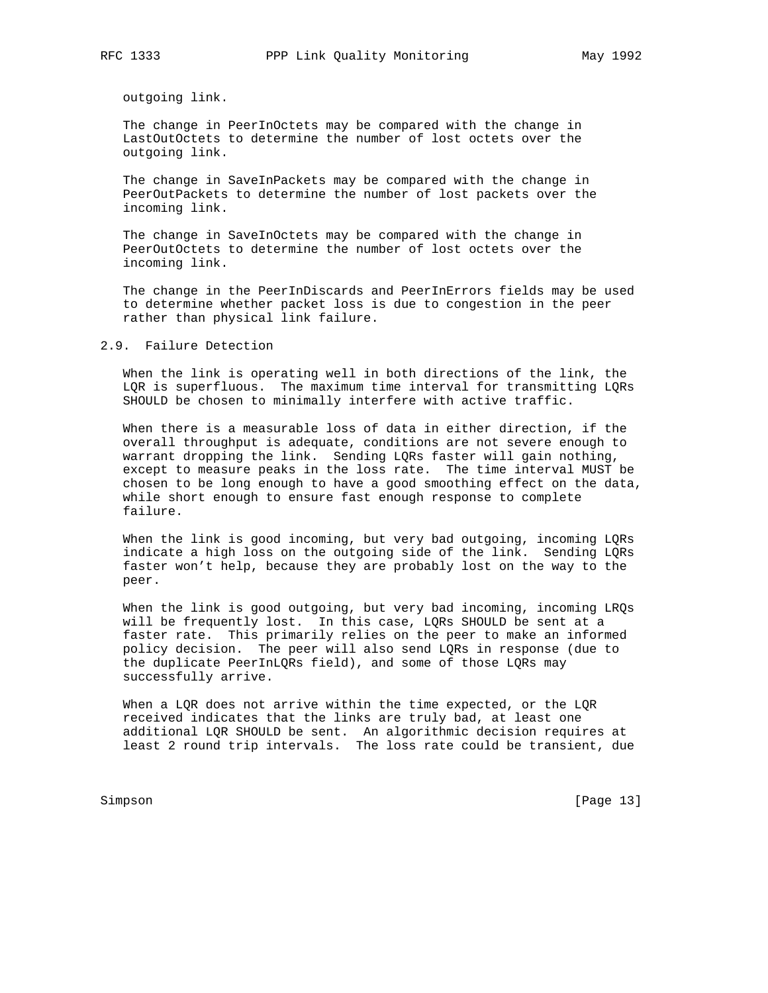outgoing link.

 The change in PeerInOctets may be compared with the change in LastOutOctets to determine the number of lost octets over the outgoing link.

 The change in SaveInPackets may be compared with the change in PeerOutPackets to determine the number of lost packets over the incoming link.

 The change in SaveInOctets may be compared with the change in PeerOutOctets to determine the number of lost octets over the incoming link.

 The change in the PeerInDiscards and PeerInErrors fields may be used to determine whether packet loss is due to congestion in the peer rather than physical link failure.

## 2.9. Failure Detection

 When the link is operating well in both directions of the link, the LQR is superfluous. The maximum time interval for transmitting LQRs SHOULD be chosen to minimally interfere with active traffic.

 When there is a measurable loss of data in either direction, if the overall throughput is adequate, conditions are not severe enough to warrant dropping the link. Sending LQRs faster will gain nothing, except to measure peaks in the loss rate. The time interval MUST be chosen to be long enough to have a good smoothing effect on the data, while short enough to ensure fast enough response to complete failure.

 When the link is good incoming, but very bad outgoing, incoming LQRs indicate a high loss on the outgoing side of the link. Sending LQRs faster won't help, because they are probably lost on the way to the peer.

 When the link is good outgoing, but very bad incoming, incoming LRQs will be frequently lost. In this case, LQRs SHOULD be sent at a faster rate. This primarily relies on the peer to make an informed policy decision. The peer will also send LQRs in response (due to the duplicate PeerInLQRs field), and some of those LQRs may successfully arrive.

When a LQR does not arrive within the time expected, or the LQR received indicates that the links are truly bad, at least one additional LQR SHOULD be sent. An algorithmic decision requires at least 2 round trip intervals. The loss rate could be transient, due

Simpson [Page 13]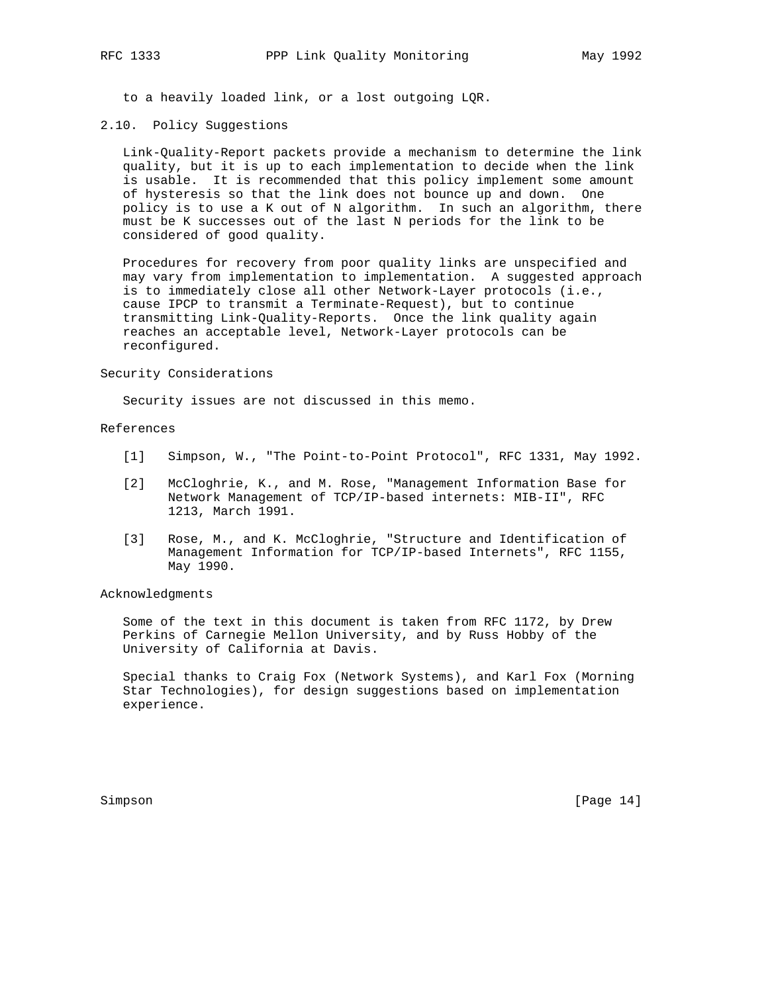to a heavily loaded link, or a lost outgoing LQR.

## 2.10. Policy Suggestions

 Link-Quality-Report packets provide a mechanism to determine the link quality, but it is up to each implementation to decide when the link is usable. It is recommended that this policy implement some amount of hysteresis so that the link does not bounce up and down. One policy is to use a K out of N algorithm. In such an algorithm, there must be K successes out of the last N periods for the link to be considered of good quality.

 Procedures for recovery from poor quality links are unspecified and may vary from implementation to implementation. A suggested approach is to immediately close all other Network-Layer protocols (i.e., cause IPCP to transmit a Terminate-Request), but to continue transmitting Link-Quality-Reports. Once the link quality again reaches an acceptable level, Network-Layer protocols can be reconfigured.

#### Security Considerations

Security issues are not discussed in this memo.

## References

- [1] Simpson, W., "The Point-to-Point Protocol", RFC 1331, May 1992.
- [2] McCloghrie, K., and M. Rose, "Management Information Base for Network Management of TCP/IP-based internets: MIB-II", RFC 1213, March 1991.
- [3] Rose, M., and K. McCloghrie, "Structure and Identification of Management Information for TCP/IP-based Internets", RFC 1155, May 1990.

## Acknowledgments

 Some of the text in this document is taken from RFC 1172, by Drew Perkins of Carnegie Mellon University, and by Russ Hobby of the University of California at Davis.

 Special thanks to Craig Fox (Network Systems), and Karl Fox (Morning Star Technologies), for design suggestions based on implementation experience.

Simpson [Page 14]